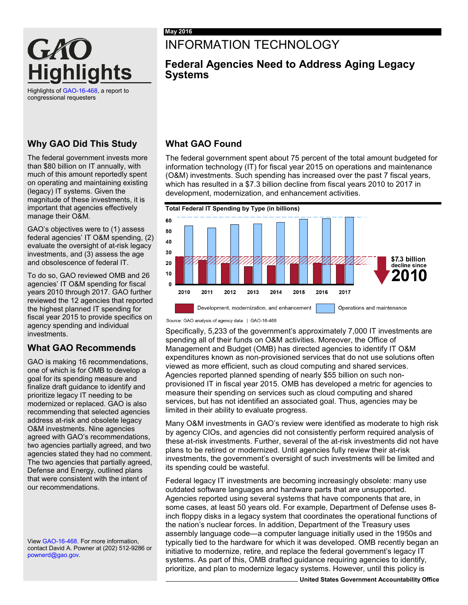

Highlights o[f GAO-16-468,](http://www.gao.gov/products/GAO-16-468) a report to congressional requesters

### **Why GAO Did This Study**

The federal government invests more than \$80 billion on IT annually, with much of this amount reportedly spent on operating and maintaining existing (legacy) IT systems. Given the magnitude of these investments, it is important that agencies effectively manage their O&M.

GAO's objectives were to (1) assess federal agencies' IT O&M spending, (2) evaluate the oversight of at-risk legacy investments, and (3) assess the age and obsolescence of federal IT.

To do so, GAO reviewed OMB and 26 agencies' IT O&M spending for fiscal years 2010 through 2017. GAO further reviewed the 12 agencies that reported the highest planned IT spending for fiscal year 2015 to provide specifics on agency spending and individual investments.

# **What GAO Recommends**

GAO is making 16 recommendations, one of which is for OMB to develop a goal for its spending measure and finalize draft guidance to identify and prioritize legacy IT needing to be modernized or replaced. GAO is also recommending that selected agencies address at-risk and obsolete legacy O&M investments. Nine agencies agreed with GAO's recommendations, two agencies partially agreed, and two agencies stated they had no comment. The two agencies that partially agreed, Defense and Energy, outlined plans that were consistent with the intent of our recommendations.

Vie[w GAO-16-468.](http://www.gao.gov/products/GAO-16-468) For more information, contact David A. Powner at (202) 512-9286 or [pownerd@gao.gov.](mailto:pownerd@gao.gov)

# INFORMATION TECHNOLOGY

# **Federal Agencies Need to Address Aging Legacy Systems**

# **What GAO Found**

The federal government spent about 75 percent of the total amount budgeted for information technology (IT) for fiscal year 2015 on operations and maintenance (O&M) investments. Such spending has increased over the past 7 fiscal years, which has resulted in a \$7.3 billion decline from fiscal years 2010 to 2017 in development, modernization, and enhancement activities.



Source: GAO analysis of agency data. | GAO-16-468

Specifically, 5,233 of the government's approximately 7,000 IT investments are spending all of their funds on O&M activities. Moreover, the Office of Management and Budget (OMB) has directed agencies to identify IT O&M expenditures known as non-provisioned services that do not use solutions often viewed as more efficient, such as cloud computing and shared services. Agencies reported planned spending of nearly \$55 billion on such nonprovisioned IT in fiscal year 2015. OMB has developed a metric for agencies to measure their spending on services such as cloud computing and shared services, but has not identified an associated goal. Thus, agencies may be limited in their ability to evaluate progress.

Many O&M investments in GAO's review were identified as moderate to high risk by agency CIOs, and agencies did not consistently perform required analysis of these at-risk investments. Further, several of the at-risk investments did not have plans to be retired or modernized. Until agencies fully review their at-risk investments, the government's oversight of such investments will be limited and its spending could be wasteful.

Federal legacy IT investments are becoming increasingly obsolete: many use outdated software languages and hardware parts that are unsupported. Agencies reported using several systems that have components that are, in some cases, at least 50 years old. For example, Department of Defense uses 8 inch floppy disks in a legacy system that coordinates the operational functions of the nation's nuclear forces. In addition, Department of the Treasury uses assembly language code—a computer language initially used in the 1950s and typically tied to the hardware for which it was developed. OMB recently began an initiative to modernize, retire, and replace the federal government's legacy IT systems. As part of this, OMB drafted guidance requiring agencies to identify, prioritize, and plan to modernize legacy systems. However, until this policy is